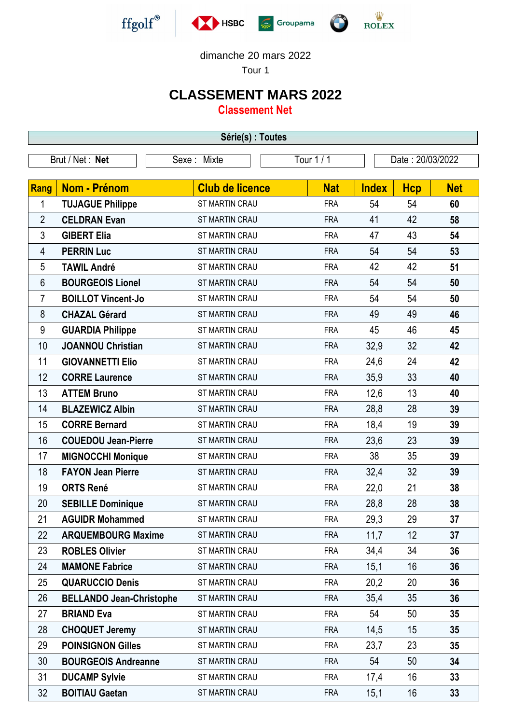





dimanche 20 mars 2022

Tour 1

## **CLASSEMENT MARS 2022**

**Classement Net**

| Série(s) : Toutes |                                 |                        |            |              |                  |            |  |  |  |
|-------------------|---------------------------------|------------------------|------------|--------------|------------------|------------|--|--|--|
| Brut / Net : Net  |                                 | Sexe: Mixte            | Tour 1 / 1 |              | Date: 20/03/2022 |            |  |  |  |
|                   |                                 |                        |            |              |                  |            |  |  |  |
| Rang              | <b>Nom - Prénom</b>             | <b>Club de licence</b> | <b>Nat</b> | <b>Index</b> | <b>Hcp</b>       | <b>Net</b> |  |  |  |
| 1                 | <b>TUJAGUE Philippe</b>         | ST MARTIN CRAU         | <b>FRA</b> | 54           | 54               | 60         |  |  |  |
| $\overline{2}$    | <b>CELDRAN Evan</b>             | <b>ST MARTIN CRAU</b>  | <b>FRA</b> | 41           | 42               | 58         |  |  |  |
| $\mathfrak{Z}$    | <b>GIBERT Elia</b>              | <b>ST MARTIN CRAU</b>  | <b>FRA</b> | 47           | 43               | 54         |  |  |  |
| $\overline{4}$    | <b>PERRIN Luc</b>               | ST MARTIN CRAU         | <b>FRA</b> | 54           | 54               | 53         |  |  |  |
| 5                 | <b>TAWIL André</b>              | <b>ST MARTIN CRAU</b>  | <b>FRA</b> | 42           | 42               | 51         |  |  |  |
| $6\,$             | <b>BOURGEOIS Lionel</b>         | <b>ST MARTIN CRAU</b>  | <b>FRA</b> | 54           | 54               | 50         |  |  |  |
| 7                 | <b>BOILLOT Vincent-Jo</b>       | ST MARTIN CRAU         | <b>FRA</b> | 54           | 54               | 50         |  |  |  |
| 8                 | <b>CHAZAL Gérard</b>            | ST MARTIN CRAU         | <b>FRA</b> | 49           | 49               | 46         |  |  |  |
| 9                 | <b>GUARDIA Philippe</b>         | ST MARTIN CRAU         | <b>FRA</b> | 45           | 46               | 45         |  |  |  |
| 10                | <b>JOANNOU Christian</b>        | ST MARTIN CRAU         | <b>FRA</b> | 32,9         | 32               | 42         |  |  |  |
| 11                | <b>GIOVANNETTI Elio</b>         | ST MARTIN CRAU         | <b>FRA</b> | 24,6         | 24               | 42         |  |  |  |
| 12                | <b>CORRE Laurence</b>           | ST MARTIN CRAU         | <b>FRA</b> | 35,9         | 33               | 40         |  |  |  |
| 13                | <b>ATTEM Bruno</b>              | ST MARTIN CRAU         | <b>FRA</b> | 12,6         | 13               | 40         |  |  |  |
| 14                | <b>BLAZEWICZ Albin</b>          | ST MARTIN CRAU         | <b>FRA</b> | 28,8         | 28               | 39         |  |  |  |
| 15                | <b>CORRE Bernard</b>            | ST MARTIN CRAU         | <b>FRA</b> | 18,4         | 19               | 39         |  |  |  |
| 16                | <b>COUEDOU Jean-Pierre</b>      | ST MARTIN CRAU         | <b>FRA</b> | 23,6         | 23               | 39         |  |  |  |
| 17                | <b>MIGNOCCHI Monique</b>        | ST MARTIN CRAU         | <b>FRA</b> | 38           | 35               | 39         |  |  |  |
| 18                | <b>FAYON Jean Pierre</b>        | ST MARTIN CRAU         | <b>FRA</b> | 32,4         | 32               | 39         |  |  |  |
| 19                | <b>ORTS René</b>                | ST MARTIN CRAU         | <b>FRA</b> | 22,0         | 21               | 38         |  |  |  |
| 20                | <b>SEBILLE Dominique</b>        | <b>ST MARTIN CRAU</b>  | <b>FRA</b> | 28,8         | 28               | 38         |  |  |  |
| 21                | <b>AGUIDR Mohammed</b>          | ST MARTIN CRAU         | <b>FRA</b> | 29,3         | 29               | 37         |  |  |  |
| 22                | <b>ARQUEMBOURG Maxime</b>       | ST MARTIN CRAU         | <b>FRA</b> | 11,7         | 12               | 37         |  |  |  |
| 23                | <b>ROBLES Olivier</b>           | ST MARTIN CRAU         | <b>FRA</b> | 34,4         | 34               | 36         |  |  |  |
| 24                | <b>MAMONE Fabrice</b>           | ST MARTIN CRAU         | <b>FRA</b> | 15,1         | 16               | 36         |  |  |  |
| 25                | <b>QUARUCCIO Denis</b>          | ST MARTIN CRAU         | <b>FRA</b> | 20,2         | 20               | 36         |  |  |  |
| 26                | <b>BELLANDO Jean-Christophe</b> | ST MARTIN CRAU         | <b>FRA</b> | 35,4         | 35               | 36         |  |  |  |
| 27                | <b>BRIAND Eva</b>               | ST MARTIN CRAU         | <b>FRA</b> | 54           | 50               | 35         |  |  |  |
| 28                | <b>CHOQUET Jeremy</b>           | ST MARTIN CRAU         | <b>FRA</b> | 14,5         | 15               | 35         |  |  |  |
| 29                | <b>POINSIGNON Gilles</b>        | ST MARTIN CRAU         | <b>FRA</b> | 23,7         | 23               | 35         |  |  |  |
| 30                | <b>BOURGEOIS Andreanne</b>      | ST MARTIN CRAU         | <b>FRA</b> | 54           | 50               | 34         |  |  |  |
| 31                | <b>DUCAMP Sylvie</b>            | ST MARTIN CRAU         | <b>FRA</b> | 17,4         | 16               | 33         |  |  |  |
| 32                | <b>BOITIAU Gaetan</b>           | <b>ST MARTIN CRAU</b>  | <b>FRA</b> | 15,1         | 16               | 33         |  |  |  |